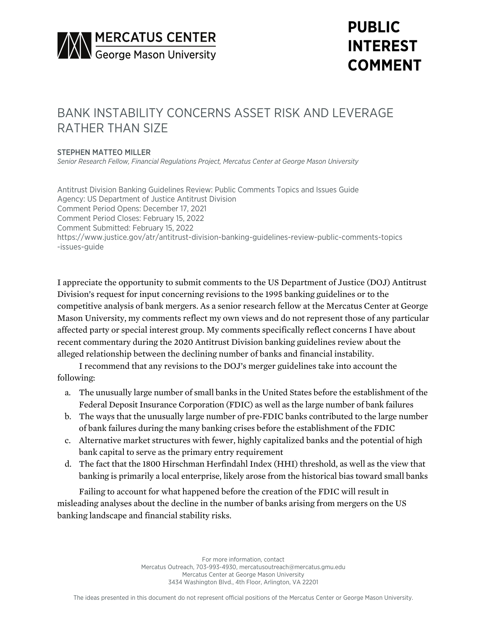

# **PUBLIC INTEREST COMMENT**

## BANK INSTABILITY CONCERNS ASSET RISK AND LEVERAGE RATHER THAN SIZE

#### STEPHEN MATTEO MILLER

*Senior Research Fellow, Financial Regulations Project, Mercatus Center at George Mason University*

Antitrust Division Banking Guidelines Review: Public Comments Topics and Issues Guide Agency: US Department of Justice Antitrust Division Comment Period Opens: December 17, 2021 Comment Period Closes: February 15, 2022 Comment Submitted: February 15, 2022 https://www.justice.gov/atr/antitrust-division-banking-guidelines-review-public-comments-topics -issues-guide

I appreciate the opportunity to submit comments to the US Department of Justice (DOJ) Antitrust Division's request for input concerning revisions to the 1995 banking guidelines or to the competitive analysis of bank mergers. As a senior research fellow at the Mercatus Center at George Mason University, my comments reflect my own views and do not represent those of any particular affected party or special interest group. My comments specifically reflect concerns I have about recent commentary during the 2020 Antitrust Division banking guidelines review about the alleged relationship between the declining number of banks and financial instability.

I recommend that any revisions to the DOJ's merger guidelines take into account the following:

- a. The unusually large number of small banks in the United States before the establishment of the Federal Deposit Insurance Corporation (FDIC) as well as the large number of bank failures
- b. The ways that the unusually large number of pre-FDIC banks contributed to the large number of bank failures during the many banking crises before the establishment of the FDIC
- c. Alternative market structures with fewer, highly capitalized banks and the potential of high bank capital to serve as the primary entry requirement
- d. The fact that the 1800 Hirschman Herfindahl Index (HHI) threshold, as well as the view that banking is primarily a local enterprise, likely arose from the historical bias toward small banks

Failing to account for what happened before the creation of the FDIC will result in misleading analyses about the decline in the number of banks arising from mergers on the US banking landscape and financial stability risks.

> For more information, contact Mercatus Outreach, 703-993-4930, mercatusoutreach@mercatus.gmu.edu Mercatus Center at George Mason University 3434 Washington Blvd., 4th Floor, Arlington, VA 22201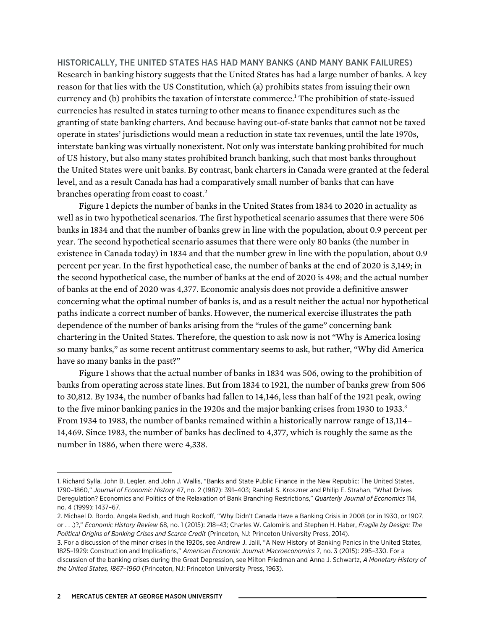HISTORICALLY, THE UNITED STATES HAS HAD MANY BANKS (AND MANY BANK FAILURES) Research in banking history suggests that the United States has had a large number of banks. A key reason for that lies with the US Constitution, which (a) prohibits states from issuing their own currency and (b) prohibits the taxation of interstate commerce.<sup>1</sup> The prohibition of state-issued currencies has resulted in states turning to other means to finance expenditures such as the granting of state banking charters. And because having out-of-state banks that cannot not be taxed operate in states' jurisdictions would mean a reduction in state tax revenues, until the late 1970s, interstate banking was virtually nonexistent. Not only was interstate banking prohibited for much of US history, but also many states prohibited branch banking, such that most banks throughout the United States were unit banks. By contrast, bank charters in Canada were granted at the federal level, and as a result Canada has had a comparatively small number of banks that can have branches operating from coast to coast.<sup>2</sup>

Figure 1 depicts the number of banks in the United States from 1834 to 2020 in actuality as well as in two hypothetical scenarios. The first hypothetical scenario assumes that there were 506 banks in 1834 and that the number of banks grew in line with the population, about 0.9 percent per year. The second hypothetical scenario assumes that there were only 80 banks (the number in existence in Canada today) in 1834 and that the number grew in line with the population, about 0.9 percent per year. In the first hypothetical case, the number of banks at the end of 2020 is 3,149; in the second hypothetical case, the number of banks at the end of 2020 is 498; and the actual number of banks at the end of 2020 was 4,377. Economic analysis does not provide a definitive answer concerning what the optimal number of banks is, and as a result neither the actual nor hypothetical paths indicate a correct number of banks. However, the numerical exercise illustrates the path dependence of the number of banks arising from the "rules of the game" concerning bank chartering in the United States. Therefore, the question to ask now is not "Why is America losing so many banks," as some recent antitrust commentary seems to ask, but rather, "Why did America have so many banks in the past?"

Figure 1 shows that the actual number of banks in 1834 was 506, owing to the prohibition of banks from operating across state lines. But from 1834 to 1921, the number of banks grew from 506 to 30,812. By 1934, the number of banks had fallen to 14,146, less than half of the 1921 peak, owing to the five minor banking panics in the 1920s and the major banking crises from 1930 to 1933.<sup>3</sup> From 1934 to 1983, the number of banks remained within a historically narrow range of 13,114– 14,469. Since 1983, the number of banks has declined to 4,377, which is roughly the same as the number in 1886, when there were 4,338.

<sup>1.</sup> Richard Sylla, John B. Legler, and John J. Wallis, "Banks and State Public Finance in the New Republic: The United States, 1790–1860," *Journal of Economic History* 47, no. 2 (1987): 391–403; Randall S. Kroszner and Philip E. Strahan, "What Drives Deregulation? Economics and Politics of the Relaxation of Bank Branching Restrictions," *Quarterly Journal of Economics* 114, no. 4 (1999): 1437–67.

<sup>2.</sup> Michael D. Bordo, Angela Redish, and Hugh Rockoff, "Why Didn't Canada Have a Banking Crisis in 2008 (or in 1930, or 1907, or . . .)?," *Economic History Review* 68, no. 1 (2015): 218–43; Charles W. Calomiris and Stephen H. Haber, *Fragile by Design: The Political Origins of Banking Crises and Scarce Credit* (Princeton, NJ: Princeton University Press, 2014).

<sup>3.</sup> For a discussion of the minor crises in the 1920s, see Andrew J. Jalil, "A New History of Banking Panics in the United States, 1825–1929: Construction and Implications," *American Economic Journal: Macroeconomics* 7, no. 3 (2015): 295–330. For a discussion of the banking crises during the Great Depression, see Milton Friedman and Anna J. Schwartz, *A Monetary History of the United States, 1867–1960* (Princeton, NJ: Princeton University Press, 1963).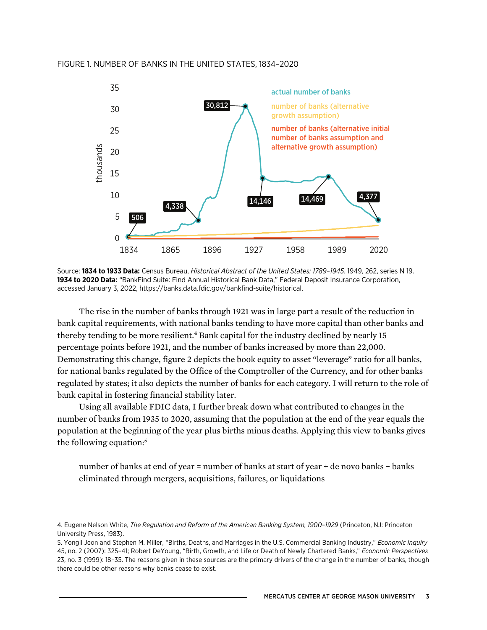

Source: **1834 to 1933 Data:** Census Bureau, *Historical Abstract of the United States: 1789–1945*, 1949, 262, series N 19. **1934 to 2020 Data:** "BankFind Suite: Find Annual Historical Bank Data," Federal Deposit Insurance Corporation, accessed January 3, 2022,<https://banks.data.fdic.gov/bankfind-suite/historical>.

The rise in the number of banks through 1921 was in large part a result of the reduction in bank capital requirements, with national banks tending to have more capital than other banks and thereby tending to be more resilient.<sup>4</sup> Bank capital for the industry declined by nearly 15 percentage points before 1921, and the number of banks increased by more than 22,000. Demonstrating this change, figure 2 depicts the book equity to asset "leverage" ratio for all banks, for national banks regulated by the Office of the Comptroller of the Currency, and for other banks regulated by states; it also depicts the number of banks for each category. I will return to the role of bank capital in fostering financial stability later.

Using all available FDIC data, I further break down what contributed to changes in the number of banks from 1935 to 2020, assuming that the population at the end of the year equals the population at the beginning of the year plus births minus deaths. Applying this view to banks gives the following equation:<sup>5</sup>

number of banks at end of year = number of banks at start of year + de novo banks − banks eliminated through mergers, acquisitions, failures, or liquidations

<sup>4.</sup> Eugene Nelson White, *The Regulation and Reform of the American Banking System, 1900–1929* (Princeton, NJ: Princeton University Press, 1983).

<sup>5.</sup> Yongil Jeon and Stephen M. Miller, "Births, Deaths, and Marriages in the U.S. Commercial Banking Industry," *Economic Inquiry* 45, no. 2 (2007): 325–41; Robert DeYoung, "Birth, Growth, and Life or Death of Newly Chartered Banks," *Economic Perspectives* 23, no. 3 (1999): 18–35. The reasons given in these sources are the primary drivers of the change in the number of banks, though there could be other reasons why banks cease to exist.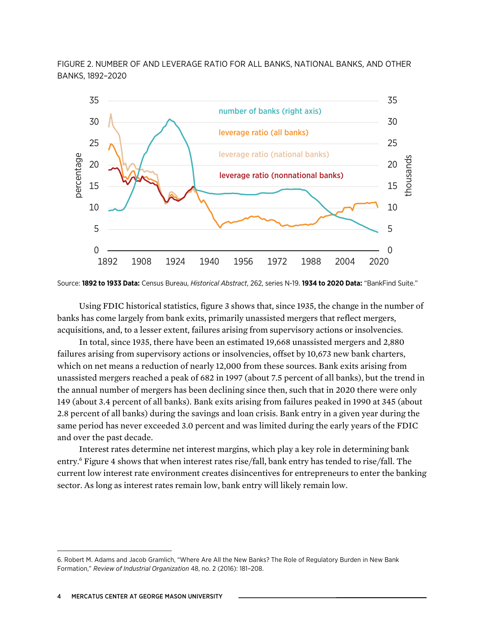FIGURE 2. NUMBER OF AND LEVERAGE RATIO FOR ALL BANKS, NATIONAL BANKS, AND OTHER BANKS, 1892–2020



Source: **1892 to 1933 Data:** Census Bureau, *Historical Abstract*, 262, series N-19. **1934 to 2020 Data:** "BankFind Suite."

Using FDIC historical statistics, figure 3 shows that, since 1935, the change in the number of banks has come largely from bank exits, primarily unassisted mergers that reflect mergers, acquisitions, and, to a lesser extent, failures arising from supervisory actions or insolvencies.

In total, since 1935, there have been an estimated 19,668 unassisted mergers and 2,880 failures arising from supervisory actions or insolvencies, offset by 10,673 new bank charters, which on net means a reduction of nearly 12,000 from these sources. Bank exits arising from unassisted mergers reached a peak of 682 in 1997 (about 7.5 percent of all banks), but the trend in the annual number of mergers has been declining since then, such that in 2020 there were only 149 (about 3.4 percent of all banks). Bank exits arising from failures peaked in 1990 at 345 (about 2.8 percent of all banks) during the savings and loan crisis. Bank entry in a given year during the same period has never exceeded 3.0 percent and was limited during the early years of the FDIC and over the past decade.

Interest rates determine net interest margins, which play a key role in determining bank entry.6 Figure 4 shows that when interest rates rise/fall, bank entry has tended to rise/fall. The current low interest rate environment creates disincentives for entrepreneurs to enter the banking sector. As long as interest rates remain low, bank entry will likely remain low.

<sup>6.</sup> Robert M. Adams and Jacob Gramlich, "Where Are All the New Banks? The Role of Regulatory Burden in New Bank Formation," *Review of Industrial Organization* 48, no. 2 (2016): 181–208.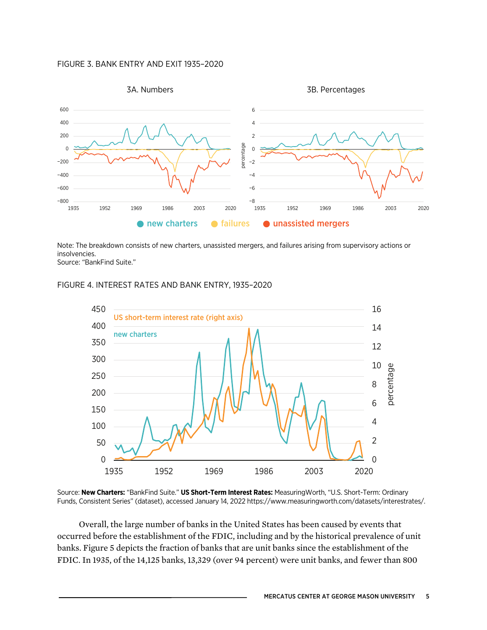#### FIGURE 3. BANK ENTRY AND EXIT 1935–2020



Note: The breakdown consists of new charters, unassisted mergers, and failures arising from supervisory actions or insolvencies.

Source: "BankFind Suite."

#### FIGURE 4. INTEREST RATES AND BANK ENTRY, 1935–2020



Source: **New Charters:** "BankFind Suite." **US Short-Term Interest Rates:** MeasuringWorth, "U.S. Short-Term: Ordinary Funds, Consistent Series" (dataset), accessed January 14, 2022 [https://www.measuringworth.com/datasets/interestrates/.](https://www.measuringworth.com/datasets/interestrates/)

Overall, the large number of banks in the United States has been caused by events that occurred before the establishment of the FDIC, including and by the historical prevalence of unit banks. Figure 5 depicts the fraction of banks that are unit banks since the establishment of the FDIC. In 1935, of the 14,125 banks, 13,329 (over 94 percent) were unit banks, and fewer than 800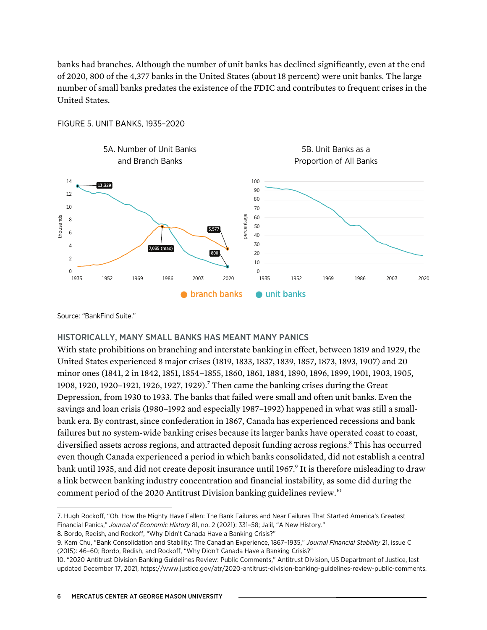banks had branches. Although the number of unit banks has declined significantly, even at the end of 2020, 800 of the 4,377 banks in the United States (about 18 percent) were unit banks. The large number of small banks predates the existence of the FDIC and contributes to frequent crises in the United States.



FIGURE 5. UNIT BANKS, 1935–2020

Source: "BankFind Suite."

#### HISTORICALLY, MANY SMALL BANKS HAS MEANT MANY PANICS

With state prohibitions on branching and interstate banking in effect, between 1819 and 1929, the United States experienced 8 major crises (1819, 1833, 1837, 1839, 1857, 1873, 1893, 1907) and 20 minor ones (1841, 2 in 1842, 1851, 1854–1855, 1860, 1861, 1884, 1890, 1896, 1899, 1901, 1903, 1905, 1908, 1920, 1920–1921, 1926, 1927, 1929).7 Then came the banking crises during the Great Depression, from 1930 to 1933. The banks that failed were small and often unit banks. Even the savings and loan crisis (1980–1992 and especially 1987–1992) happened in what was still a smallbank era. By contrast, since confederation in 1867, Canada has experienced recessions and bank failures but no system-wide banking crises because its larger banks have operated coast to coast, diversified assets across regions, and attracted deposit funding across regions.<sup>8</sup> This has occurred even though Canada experienced a period in which banks consolidated, did not establish a central bank until 1935, and did not create deposit insurance until 1967.<sup>9</sup> It is therefore misleading to draw a link between banking industry concentration and financial instability, as some did during the comment period of the 2020 Antitrust Division banking guidelines review. 10

<sup>7.</sup> Hugh Rockoff, "Oh, How the Mighty Have Fallen: The Bank Failures and Near Failures That Started America's Greatest Financial Panics," *Journal of Economic History* 81, no. 2 (2021): 331–58; Jalil, "A New History."

<sup>8.</sup> Bordo, Redish, and Rockoff, "Why Didn't Canada Have a Banking Crisis?"

<sup>9.</sup> Kam Chu, "Bank Consolidation and Stability: The Canadian Experience, 1867–1935," *Journal Financial Stability* 21, issue C (2015): 46–60; Bordo, Redish, and Rockoff, "Why Didn't Canada Have a Banking Crisis?"

<sup>10.</sup> "2020 Antitrust Division Banking Guidelines Review: Public Comments," Antitrust Division, US Department of Justice, last updated December 17, 2021, [https://www.justice.gov/atr/2020-antitrust-division-banking-guidelines-review-public-comments.](https://www.justice.gov/atr/2020-antitrust-division-banking-guidelines-review-public-comments)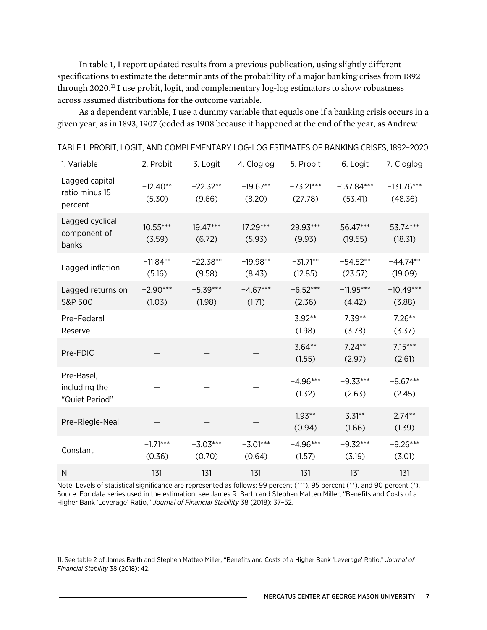In table 1, I report updated results from a previous publication, using slightly different specifications to estimate the determinants of the probability of a major banking crises from 1892 through 2020.<sup>11</sup> I use probit, logit, and complementary log-log estimators to show robustness across assumed distributions for the outcome variable.

As a dependent variable, I use a dummy variable that equals one if a banking crisis occurs in a given year, as in 1893, 1907 (coded as 1908 because it happened at the end of the year, as Andrew

| 1. Variable                                   | 2. Probit            | 3. Logit             | 4. Cloglog           | 5. Probit              | 6. Logit                | 7. Cloglog              |  |
|-----------------------------------------------|----------------------|----------------------|----------------------|------------------------|-------------------------|-------------------------|--|
| Lagged capital<br>ratio minus 15<br>percent   | $-12.40**$<br>(5.30) | $-22.32**$<br>(9.66) | $-19.67**$<br>(8.20) | $-73.21***$<br>(27.78) | $-137.84***$<br>(53.41) | $-131.76***$<br>(48.36) |  |
| Lagged cyclical<br>component of<br>banks      | $10.55***$<br>(3.59) | $19.47***$<br>(6.72) | $17.29***$<br>(5.93) | 29.93***<br>(9.93)     |                         | 53.74***<br>(18.31)     |  |
| Lagged inflation                              | $-11.84**$<br>(5.16) | $-22.38**$<br>(9.58) | $-19.98**$<br>(8.43) | $-31.71**$<br>(12.85)  | $-54.52**$<br>(23.57)   | $-44.74**$<br>(19.09)   |  |
| Lagged returns on<br>S&P 500                  | $-2.90***$<br>(1.03) | $-5.39***$<br>(1.98) | $-4.67***$<br>(1.71) | $-6.52***$<br>(2.36)   | $-11.95***$<br>(4.42)   | $-10.49***$<br>(3.88)   |  |
| Pre-Federal<br>Reserve                        |                      |                      |                      | $3.92**$<br>(1.98)     | $7.39**$<br>(3.78)      | $7.26**$<br>(3.37)      |  |
| Pre-FDIC                                      |                      |                      |                      | $3.64**$<br>(1.55)     | $7.24**$<br>(2.97)      | $7.15***$<br>(2.61)     |  |
| Pre-Basel,<br>including the<br>"Quiet Period" |                      |                      |                      | $-4.96***$<br>(1.32)   | $-9.33***$<br>(2.63)    | $-8.67***$<br>(2.45)    |  |
| Pre-Riegle-Neal                               |                      |                      |                      | $1.93**$<br>(0.94)     | $3.31**$<br>(1.66)      | $2.74**$<br>(1.39)      |  |
| Constant                                      | $-1.71***$<br>(0.36) | $-3.03***$<br>(0.70) | $-3.01***$<br>(0.64) | $-4.96***$<br>(1.57)   | $-9.32***$<br>(3.19)    | $-9.26***$<br>(3.01)    |  |
| N                                             | 131                  | 131                  | 131                  | 131                    | 131                     | 131                     |  |

TABLE 1. PROBIT, LOGIT, AND COMPLEMENTARY LOG-LOG ESTIMATES OF BANKING CRISES, 1892–2020

Note: Levels of statistical significance are represented as follows: 99 percent (\*\*\*), 95 percent (\*\*), and 90 percent (\*). Souce: For data series used in the estimation, see James R. Barth and Stephen Matteo Miller, "Benefits and Costs of a Higher Bank 'Leverage' Ratio," *Journal of Financial Stability* 38 (2018): 37–52.

<sup>11.</sup> See table 2 of James Barth and Stephen Matteo Miller, "Benefits and Costs of a Higher Bank 'Leverage' Ratio," *Journal of Financial Stability* 38 (2018): 42.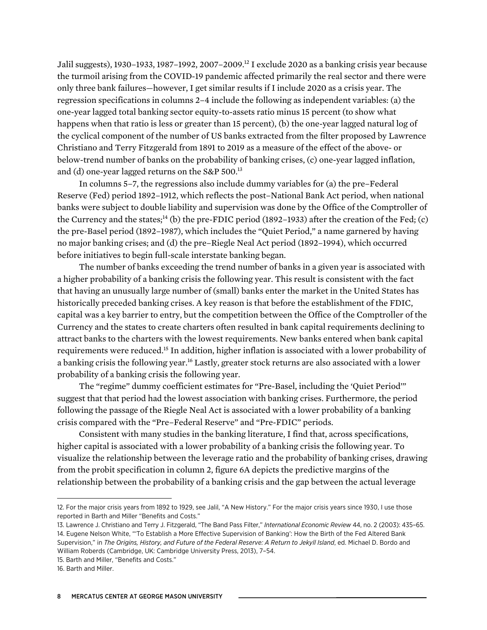Jalil suggests), 1930–1933, 1987–1992, 2007–2009.12 I exclude 2020 as a banking crisis year because the turmoil arising from the COVID-19 pandemic affected primarily the real sector and there were only three bank failures—however, I get similar results if I include 2020 as a crisis year. The regression specifications in columns 2–4 include the following as independent variables: (a) the one-year lagged total banking sector equity-to-assets ratio minus 15 percent (to show what happens when that ratio is less or greater than 15 percent), (b) the one-year lagged natural log of the cyclical component of the number of US banks extracted from the filter proposed by Lawrence Christiano and Terry Fitzgerald from 1891 to 2019 as a measure of the effect of the above- or below-trend number of banks on the probability of banking crises, (c) one-year lagged inflation, and (d) one-year lagged returns on the S&P 500.<sup>13</sup>

In columns 5–7, the regressions also include dummy variables for (a) the pre–Federal Reserve (Fed) period 1892–1912, which reflects the post–National Bank Act period, when national banks were subject to double liability and supervision was done by the Office of the Comptroller of the Currency and the states;<sup>14</sup> (b) the pre-FDIC period (1892–1933) after the creation of the Fed; (c) the pre-Basel period (1892–1987), which includes the "Quiet Period," a name garnered by having no major banking crises; and (d) the pre–Riegle Neal Act period (1892–1994), which occurred before initiatives to begin full-scale interstate banking began.

The number of banks exceeding the trend number of banks in a given year is associated with a higher probability of a banking crisis the following year. This result is consistent with the fact that having an unusually large number of (small) banks enter the market in the United States has historically preceded banking crises. A key reason is that before the establishment of the FDIC, capital was a key barrier to entry, but the competition between the Office of the Comptroller of the Currency and the states to create charters often resulted in bank capital requirements declining to attract banks to the charters with the lowest requirements. New banks entered when bank capital requirements were reduced.15 In addition, higher inflation is associated with a lower probability of a banking crisis the following year.<sup>16</sup> Lastly, greater stock returns are also associated with a lower probability of a banking crisis the following year.

The "regime" dummy coefficient estimates for "Pre-Basel, including the 'Quiet Period'" suggest that that period had the lowest association with banking crises. Furthermore, the period following the passage of the Riegle Neal Act is associated with a lower probability of a banking crisis compared with the "Pre–Federal Reserve" and "Pre-FDIC" periods.

Consistent with many studies in the banking literature, I find that, across specifications, higher capital is associated with a lower probability of a banking crisis the following year. To visualize the relationship between the leverage ratio and the probability of banking crises, drawing from the probit specification in column 2, figure 6A depicts the predictive margins of the relationship between the probability of a banking crisis and the gap between the actual leverage

<sup>12.</sup> For the major crisis years from 1892 to 1929, see Jalil, "A New History." For the major crisis years since 1930, I use those reported in Barth and Miller "Benefits and Costs."

<sup>13.</sup> Lawrence J. Christiano and Terry J. Fitzgerald, "The Band Pass Filter," *International Economic Review* 44, no. 2 (2003): 435–65. 14. Eugene Nelson White, "'To Establish a More Effective Supervision of Banking': How the Birth of the Fed Altered Bank Supervision," in *The Origins, History, and Future of the Federal Reserve: A Return to Jekyll Island*, ed. Michael D. Bordo and William Roberds (Cambridge, UK: Cambridge University Press, 2013), 7–54.

<sup>15.</sup> Barth and Miller, "Benefits and Costs."

<sup>16.</sup> Barth and Miller.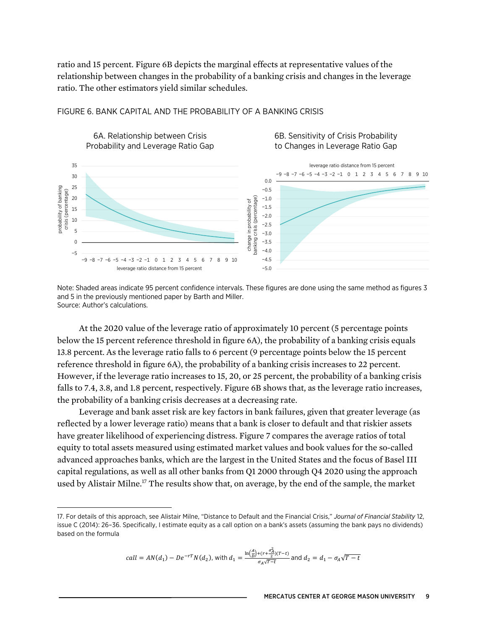ratio and 15 percent. Figure 6B depicts the marginal effects at representative values of the relationship between changes in the probability of a banking crisis and changes in the leverage ratio. The other estimators yield similar schedules.



#### FIGURE 6. BANK CAPITAL AND THE PROBABILITY OF A BANKING CRISIS

Note: Shaded areas indicate 95 percent confidence intervals. These figures are done using the same method as figures 3 and 5 in the previously mentioned paper by Barth and Miller. Source: Author's calculations.

At the 2020 value of the leverage ratio of approximately 10 percent (5 percentage points below the 15 percent reference threshold in figure 6A), the probability of a banking crisis equals 13.8 percent. As the leverage ratio falls to 6 percent (9 percentage points below the 15 percent reference threshold in figure 6A), the probability of a banking crisis increases to 22 percent. However, if the leverage ratio increases to 15, 20, or 25 percent, the probability of a banking crisis falls to 7.4, 3.8, and 1.8 percent, respectively. Figure 6B shows that, as the leverage ratio increases, the probability of a banking crisis decreases at a decreasing rate.

Leverage and bank asset risk are key factors in bank failures, given that greater leverage (as reflected by a lower leverage ratio) means that a bank is closer to default and that riskier assets have greater likelihood of experiencing distress. Figure 7 compares the average ratios of total equity to total assets measured using estimated market values and book values for the so-called advanced approaches banks, which are the largest in the United States and the focus of Basel III capital regulations, as well as all other banks from Q1 2000 through Q4 2020 using the approach used by Alistair Milne.<sup>17</sup> The results show that, on average, by the end of the sample, the market

$$
call = AN(d_1) - De^{-rT}N(d_2)
$$
, with  $d_1 = \frac{\ln(\frac{A}{D}) + (r + \frac{\sigma_A^2}{2})(T-t)}{\sigma_A \sqrt{T-t}}$  and  $d_2 = d_1 - \sigma_A \sqrt{T-t}$ 

<sup>17.</sup> For details of this approach, see Alistair Milne, "Distance to Default and the Financial Crisis," *Journal of Financial Stability* 12, issue C (2014): 26–36. Specifically, I estimate equity as a call option on a bank's assets (assuming the bank pays no dividends) based on the formula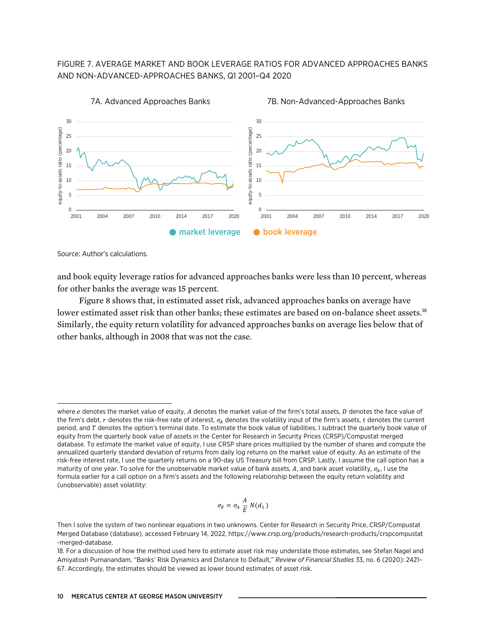## FIGURE 7. AVERAGE MARKET AND BOOK LEVERAGE RATIOS FOR ADVANCED APPROACHES BANKS AND NON-ADVANCED-APPROACHES BANKS, Q1 2001–Q4 2020



Source: Author's calculations.

and book equity leverage ratios for advanced approaches banks were less than 10 percent, whereas for other banks the average was 15 percent.

Figure 8 shows that, in estimated asset risk, advanced approaches banks on average have lower estimated asset risk than other banks; these estimates are based on on-balance sheet assets.<sup>18</sup> Similarly, the equity return volatility for advanced approaches banks on average lies below that of other banks, although in 2008 that was not the case.

$$
\sigma_E = \sigma_A \frac{A}{E} N(d_1)
$$

where  $e$  denotes the market value of equity,  $A$  denotes the market value of the firm's total assets,  $D$  denotes the face value of the firm's debt,  $r$  denotes the risk-free rate of interest,  $\sigma_4$  denotes the volatility input of the firm's assets,  $t$  denotes the current period, and T denotes the option's terminal date. To estimate the book value of liabilities, I subtract the quarterly book value of equity from the quarterly book value of assets in the Center for Research in Security Prices (CRSP)/Compustat merged database. To estimate the market value of equity, I use CRSP share prices multiplied by the number of shares and compute the annualized quarterly standard deviation of returns from daily log returns on the market value of equity. As an estimate of the risk-free interest rate, I use the quarterly returns on a 90-day US Treasury bill from CRSP. Lastly, I assume the call option has a maturity of one year. To solve for the unobservable market value of bank assets, A, and bank asset volatility,  $\sigma_A$ , I use the formula earlier for a call option on a firm's assets and the following relationship between the equity return volatility and (unobservable) asset volatility:

Then I solve the system of two nonlinear equations in two unknowns. Center for Research in Security Price, CRSP/Compustat Merged Database (database), accessed February 14, 2022, [https://www.crsp.org/products/research-products/crspcompustat](https://www.crsp.org/products/research-products/crspcompustat-merged-database) [-merged-database](https://www.crsp.org/products/research-products/crspcompustat-merged-database).

<sup>18.</sup> For a discussion of how the method used here to estimate asset risk may understate those estimates, see Stefan Nagel and Amiyatosh Purnanandam, "Banks' Risk Dynamics and Distance to Default," *Review of Financial Studies* 33, no. 6 (2020): 2421– 67. Accordingly, the estimates should be viewed as lower bound estimates of asset risk.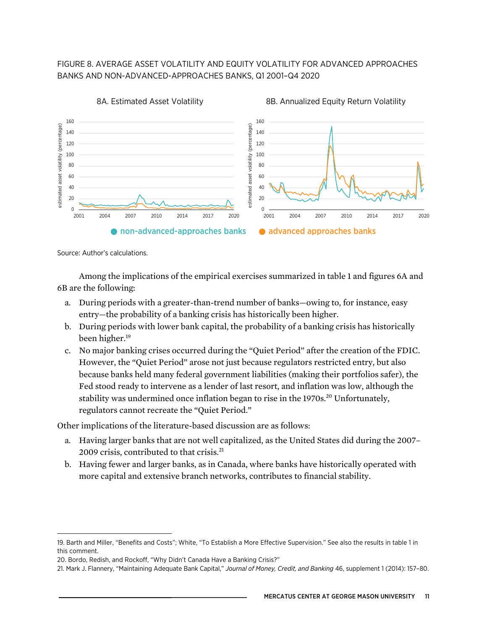## FIGURE 8. AVERAGE ASSET VOLATILITY AND EQUITY VOLATILITY FOR ADVANCED APPROACHES BANKS AND NON-ADVANCED-APPROACHES BANKS, Q1 2001–Q4 2020



Source: Author's calculations.

Among the implications of the empirical exercises summarized in table 1 and figures 6A and 6B are the following:

- a. During periods with a greater-than-trend number of banks—owing to, for instance, easy entry—the probability of a banking crisis has historically been higher.
- b. During periods with lower bank capital, the probability of a banking crisis has historically been higher.<sup>19</sup>
- c. No major banking crises occurred during the "Quiet Period" after the creation of the FDIC. However, the "Quiet Period" arose not just because regulators restricted entry, but also because banks held many federal government liabilities (making their portfolios safer), the Fed stood ready to intervene as a lender of last resort, and inflation was low, although the stability was undermined once inflation began to rise in the 1970s.<sup>20</sup> Unfortunately, regulators cannot recreate the "Quiet Period."

Other implications of the literature-based discussion are as follows:

- a. Having larger banks that are not well capitalized, as the United States did during the 2007– 2009 crisis, contributed to that crisis.<sup>21</sup>
- b. Having fewer and larger banks, as in Canada, where banks have historically operated with more capital and extensive branch networks, contributes to financial stability.

<sup>19.</sup> Barth and Miller, "Benefits and Costs"; White, "To Establish a More Effective Supervision." See also the results in table 1 in this comment.

<sup>20.</sup> Bordo, Redish, and Rockoff, "Why Didn't Canada Have a Banking Crisis?"

<sup>21.</sup> Mark J. Flannery, "Maintaining Adequate Bank Capital," *Journal of Money, Credit, and Banking* 46, supplement 1 (2014): 157–80.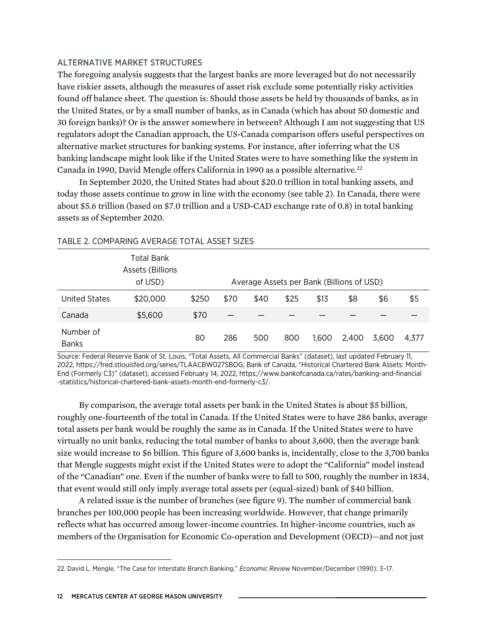#### ALTERNATIVE MARKET STRUCTURES

The foregoing analysis suggests that the largest banks are more leveraged but do not necessarily have riskier assets, although the measures of asset risk exclude some potentially risky activities found off balance sheet. The question is: Should those assets be held by thousands of banks, as in the United States, or by a small number of banks, as in Canada (which has about 50 domestic and 30 foreign banks)? Or is the answer somewhere in between? Although I am not suggesting that US regulators adopt the Canadian approach, the US-Canada comparison offers useful perspectives on alternative market structures for banking systems. For instance, after inferring what the US banking landscape might look like if the United States were to have something like the system in Canada in 1990, David Mengle offers California in 1990 as a possible alternative.<sup>22</sup>

In September 2020, the United States had about \$20.0 trillion in total banking assets, and today those assets continue to grow in line with the economy (see table 2). In Canada, there were about \$5.6 trillion (based on \$7.0 trillion and a USD-CAD exchange rate of 0.8) in total banking assets as of September 2020.

|                           | Total Bank<br>Assets (Billions<br>of USD) |       |      |      |      | Average Assets per Bank (Billions of USD) |       |       |       |
|---------------------------|-------------------------------------------|-------|------|------|------|-------------------------------------------|-------|-------|-------|
| United States             | \$20,000                                  | \$250 | \$70 | \$40 | \$25 | \$13                                      | \$8   | \$6   | \$5   |
| Canada                    | \$5,600                                   | \$70  |      |      |      |                                           |       |       |       |
| Number of<br><b>Banks</b> |                                           | 80    | 286  | 500  | 800  | 1,600                                     | 2.400 | 3,600 | 4.377 |

#### TABLE 2. COMPARING AVERAGE TOTAL ASSET SIZES

Source: Federal Reserve Bank of St. Louis, "Total Assets, All Commercial Banks" (dataset), last updated February 11, 2022, [https://fred.stlouisfed.org/series/TLAACBW027SBOG;](https://fred.stlouisfed.org/series/TLAACBW027SBOG) Bank of Canada, "Historical Chartered Bank Assets: Month-End (Formerly C3)" (dataset), accessed February 14, 2022, [https://www.bankofcanada.ca/rates/banking-and-financial](https://www.bankofcanada.ca/rates/banking-and-financial-statistics/historical-chartered-bank-assets-month-end-formerly-c3/) [-statistics/historical-chartered-bank-assets-month-end-formerly-c3/.](https://www.bankofcanada.ca/rates/banking-and-financial-statistics/historical-chartered-bank-assets-month-end-formerly-c3/)

By comparison, the average total assets per bank in the United States is about \$5 billion, roughly one-fourteenth of the total in Canada. If the United States were to have 286 banks, average total assets per bank would be roughly the same as in Canada. If the United States were to have virtually no unit banks, reducing the total number of banks to about 3,600, then the average bank size would increase to \$6 billion. This figure of 3,600 banks is, incidentally, close to the 3,700 banks that Mengle suggests might exist if the United States were to adopt the "California" model instead of the "Canadian" one. Even if the number of banks were to fall to 500, roughly the number in 1834, that event would still only imply average total assets per (equal-sized) bank of \$40 billion.

A related issue is the number of branches (see figure 9). The number of commercial bank branches per 100,000 people has been increasing worldwide. However, that change primarily reflects what has occurred among lower-income countries. In higher-income countries, such as members of the Organisation for Economic Co-operation and Development (OECD)—and not just

<sup>22.</sup> David L. Mengle, "The Case for Interstate Branch Banking," *Economic Review* November/December (1990): 3–17.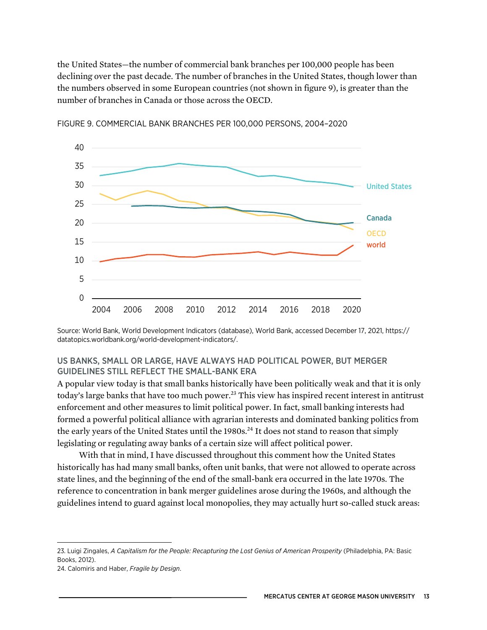the United States—the number of commercial bank branches per 100,000 people has been declining over the past decade. The number of branches in the United States, though lower than the numbers observed in some European countries (not shown in figure 9), is greater than the number of branches in Canada or those across the OECD.



FIGURE 9. COMMERCIAL BANK BRANCHES PER 100,000 PERSONS, 2004–2020

Source: World Bank, World Development Indicators (database), World Bank, accessed December 17, 2021, [https://](https://datatopics.worldbank.org/world-development-indicators/) [datatopics.worldbank.org/world-development-indicators/.](https://datatopics.worldbank.org/world-development-indicators/)

## US BANKS, SMALL OR LARGE, HAVE ALWAYS HAD POLITICAL POWER, BUT MERGER GUIDELINES STILL REFLECT THE SMALL-BANK ERA

A popular view today is that small banks historically have been politically weak and that it is only today's large banks that have too much power.<sup>23</sup> This view has inspired recent interest in antitrust enforcement and other measures to limit political power. In fact, small banking interests had formed a powerful political alliance with agrarian interests and dominated banking politics from the early years of the United States until the 1980s.<sup>24</sup> It does not stand to reason that simply legislating or regulating away banks of a certain size will affect political power.

With that in mind, I have discussed throughout this comment how the United States historically has had many small banks, often unit banks, that were not allowed to operate across state lines, and the beginning of the end of the small-bank era occurred in the late 1970s. The reference to concentration in bank merger guidelines arose during the 1960s, and although the guidelines intend to guard against local monopolies, they may actually hurt so-called stuck areas:

24. Calomiris and Haber, *Fragile by Design*.

<sup>23.</sup> Luigi Zingales, *A Capitalism for the People: Recapturing the Lost Genius of American Prosperity* (Philadelphia, PA: Basic Books, 2012).